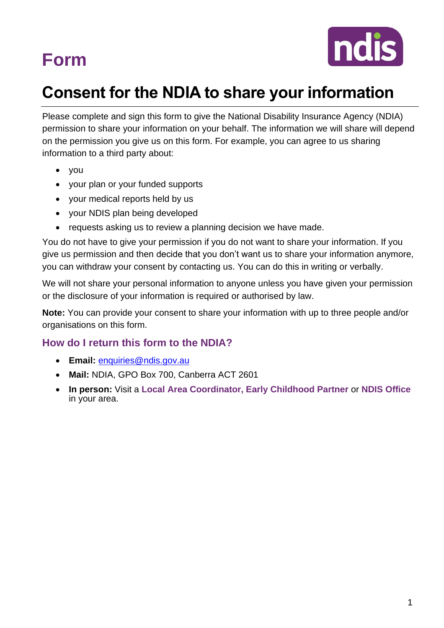

## **Consent for the NDIA to share your information**

Please complete and sign this form to give the National Disability Insurance Agency (NDIA) permission to share your information on your behalf. The information we will share will depend on the permission you give us on this form. For example, you can agree to us sharing information to a third party about:

- you
- your plan or your funded supports
- your medical reports held by us
- your NDIS plan being developed
- requests asking us to review a planning decision we have made.

You do not have to give your permission if you do not want to share your information. If you give us permission and then decide that you don't want us to share your information anymore, you can withdraw your consent by contacting us. You can do this in writing or verbally.

We will not share your personal information to anyone unless you have given your permission or the disclosure of your information is required or authorised by law.

**Note:** You can provide your consent to share your information with up to three people and/or organisations on this form.

## **How do I return this form to the NDIA?**

- **Email:** [enquiries@ndis.gov.au](mailto:enquiries@ndis.gov.au)
- **Mail:** NDIA, GPO Box 700, Canberra ACT 2601
- **In person:** Visit a **Local Area Coordinator, Early Childhood Partner** or **NDIS Office** in your area.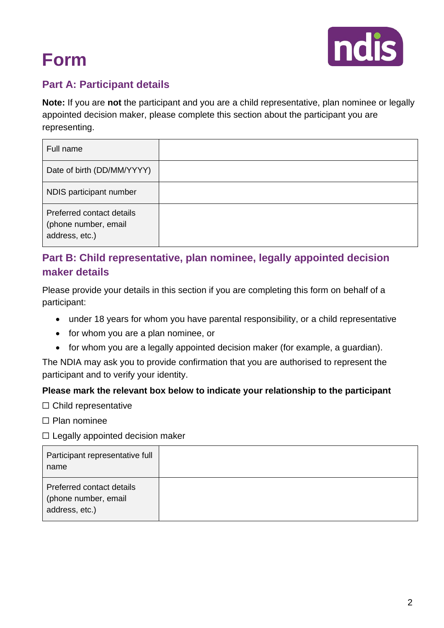

## <span id="page-1-0"></span>**Part A: Participant details**

**Note:** If you are **not** the participant and you are a child representative, plan nominee or legally appointed decision maker, please complete this section about the participant you are representing.

| Full name                                                           |  |
|---------------------------------------------------------------------|--|
| Date of birth (DD/MM/YYYY)                                          |  |
| NDIS participant number                                             |  |
| Preferred contact details<br>(phone number, email<br>address, etc.) |  |

## **Part B: Child representative, plan nominee, legally appointed decision maker details**

Please provide your details in this section if you are completing this form on behalf of a participant:

- under 18 years for whom you have parental responsibility, or a child representative
- for whom you are a plan nominee, or
- for whom you are a legally appointed decision maker (for example, a guardian).

The NDIA may ask you to provide confirmation that you are authorised to represent the participant and to verify your identity.

### **Please mark the relevant box below to indicate your relationship to the participant**

☐ Child representative

☐ Plan nominee

### $\Box$  Legally appointed decision maker

<span id="page-1-1"></span>

| Participant representative full<br>name                             |  |
|---------------------------------------------------------------------|--|
| Preferred contact details<br>(phone number, email<br>address, etc.) |  |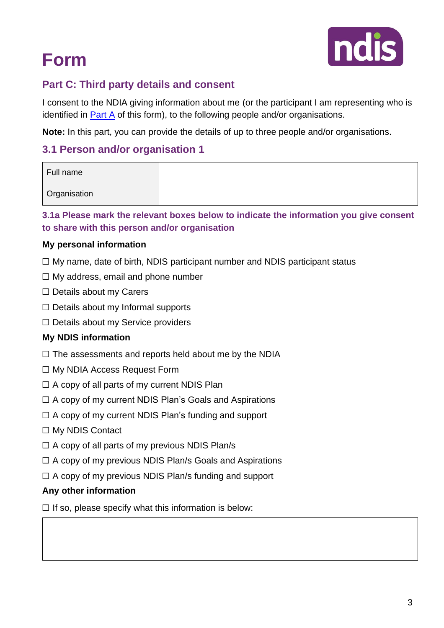

## **Part C: Third party details and consent**

I consent to the NDIA giving information about me (or the participant I am representing who is identified in **Part A** of this form), to the following people and/or organisations.

**Note:** In this part, you can provide the details of up to three people and/or organisations.

## **3.1 Person and/or organisation 1**

| Full name           |  |
|---------------------|--|
| <b>Organisation</b> |  |

**3.1a Please mark the relevant boxes below to indicate the information you give consent to share with this person and/or organisation**

### **My personal information**

- $\Box$  My name, date of birth, NDIS participant number and NDIS participant status
- $\Box$  My address, email and phone number
- ☐ Details about my Carers
- $\Box$  Details about my Informal supports
- ☐ Details about my Service providers

### **My NDIS information**

- $\Box$  The assessments and reports held about me by the NDIA
- ☐ My NDIA Access Request Form
- $\Box$  A copy of all parts of my current NDIS Plan
- $\Box$  A copy of my current NDIS Plan's Goals and Aspirations
- $\Box$  A copy of my current NDIS Plan's funding and support
- ☐ My NDIS Contact
- $\Box$  A copy of all parts of my previous NDIS Plan/s
- $\Box$  A copy of my previous NDIS Plan/s Goals and Aspirations
- $\Box$  A copy of my previous NDIS Plan/s funding and support

### **Any other information**

 $\Box$  If so, please specify what this information is below: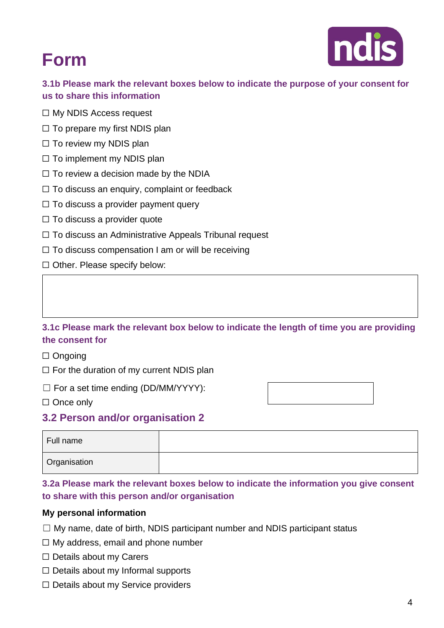

**3.1b Please mark the relevant boxes below to indicate the purpose of your consent for us to share this information**

- ☐ My NDIS Access request
- $\Box$  To prepare my first NDIS plan
- □ To review my NDIS plan
- $\Box$  To implement my NDIS plan
- $\Box$  To review a decision made by the NDIA
- ☐ To discuss an enquiry, complaint or feedback
- $\Box$  To discuss a provider payment query
- $\Box$  To discuss a provider quote
- ☐ To discuss an Administrative Appeals Tribunal request
- $\Box$  To discuss compensation I am or will be receiving
- □ Other. Please specify below:

### **3.1c Please mark the relevant box below to indicate the length of time you are providing the consent for**

#### ☐ Ongoing

- $\Box$  For the duration of my current NDIS plan
- $\Box$  For a set time ending (DD/MM/YYYY):

| $\Box$ Once only |
|------------------|
|------------------|

### **3.2 Person and/or organisation 2**

| Full name           |  |
|---------------------|--|
| <b>Organisation</b> |  |

### **3.2a Please mark the relevant boxes below to indicate the information you give consent to share with this person and/or organisation**

#### **My personal information**

- $\Box$  My name, date of birth, NDIS participant number and NDIS participant status
- $\Box$  My address, email and phone number
- ☐ Details about my Carers
- $\Box$  Details about my Informal supports
- □ Details about my Service providers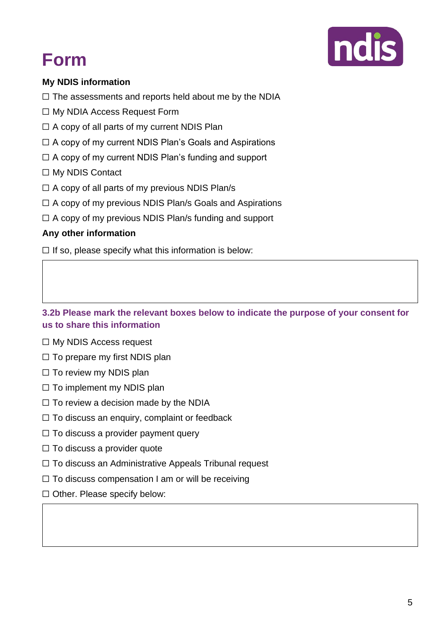

## **My NDIS information**

 $\Box$  The assessments and reports held about me by the NDIA

- ☐ My NDIA Access Request Form
- $\Box$  A copy of all parts of my current NDIS Plan
- ☐ A copy of my current NDIS Plan's Goals and Aspirations
- $\Box$  A copy of my current NDIS Plan's funding and support
- ☐ My NDIS Contact
- $\Box$  A copy of all parts of my previous NDIS Plan/s
- ☐ A copy of my previous NDIS Plan/s Goals and Aspirations
- $\Box$  A copy of my previous NDIS Plan/s funding and support

### **Any other information**

 $\Box$  If so, please specify what this information is below:

**3.2b Please mark the relevant boxes below to indicate the purpose of your consent for us to share this information**

- ☐ My NDIS Access request
- $\Box$  To prepare my first NDIS plan
- □ To review my NDIS plan
- $\Box$  To implement my NDIS plan
- $\Box$  To review a decision made by the NDIA
- $\Box$  To discuss an enquiry, complaint or feedback
- $\Box$  To discuss a provider payment query
- $\Box$  To discuss a provider quote
- ☐ To discuss an Administrative Appeals Tribunal request
- □ To discuss compensation I am or will be receiving
- □ Other. Please specify below: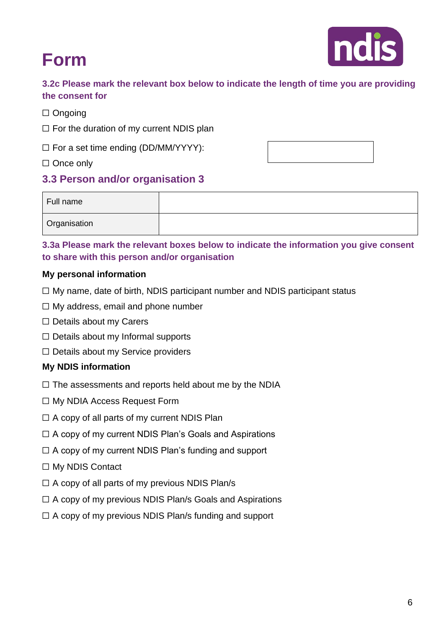

**3.2c Please mark the relevant box below to indicate the length of time you are providing the consent for**

- ☐ Ongoing
- $\Box$  For the duration of my current NDIS plan
- ☐ For a set time ending (DD/MM/YYYY):
- □ Once only

## **3.3 Person and/or organisation 3**

| Full name    |  |
|--------------|--|
| Organisation |  |

### **3.3a Please mark the relevant boxes below to indicate the information you give consent to share with this person and/or organisation**

### **My personal information**

- $\Box$  My name, date of birth, NDIS participant number and NDIS participant status
- ☐ My address, email and phone number
- □ Details about my Carers
- $\Box$  Details about my Informal supports
- ☐ Details about my Service providers

### **My NDIS information**

- $\Box$  The assessments and reports held about me by the NDIA
- ☐ My NDIA Access Request Form
- $\Box$  A copy of all parts of my current NDIS Plan
- ☐ A copy of my current NDIS Plan's Goals and Aspirations
- $\Box$  A copy of my current NDIS Plan's funding and support
- ☐ My NDIS Contact
- $\Box$  A copy of all parts of my previous NDIS Plan/s
- $\Box$  A copy of my previous NDIS Plan/s Goals and Aspirations
- $\Box$  A copy of my previous NDIS Plan/s funding and support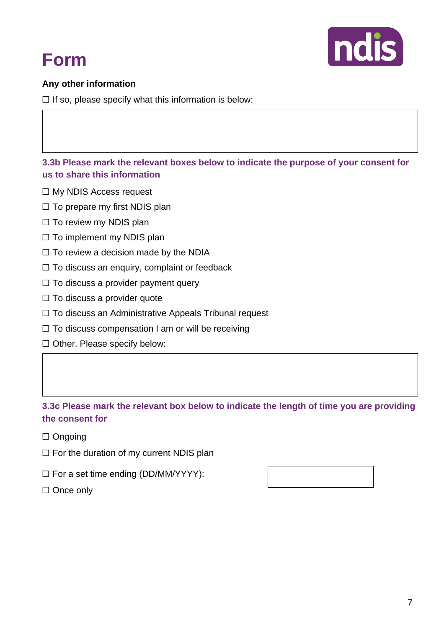



### **Any other information**

 $\Box$  If so, please specify what this information is below:

**3.3b Please mark the relevant boxes below to indicate the purpose of your consent for us to share this information**

- ☐ My NDIS Access request
- $\Box$  To prepare my first NDIS plan
- □ To review my NDIS plan
- □ To implement my NDIS plan
- $\Box$  To review a decision made by the NDIA
- ☐ To discuss an enquiry, complaint or feedback
- $\Box$  To discuss a provider payment query
- □ To discuss a provider quote
- ☐ To discuss an Administrative Appeals Tribunal request
- $\Box$  To discuss compensation I am or will be receiving
- □ Other. Please specify below:

### **3.3c Please mark the relevant box below to indicate the length of time you are providing the consent for**

- ☐ Ongoing
- □ For the duration of my current NDIS plan
- ☐ For a set time ending (DD/MM/YYYY):
- <span id="page-6-0"></span>□ Once only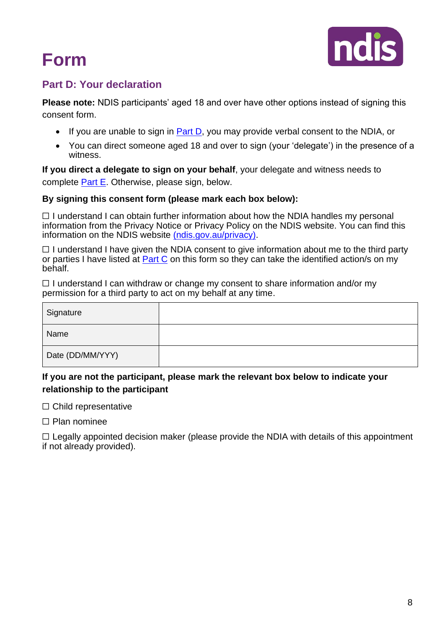

## **Part D: Your declaration**

**Please note:** NDIS participants' aged 18 and over have other options instead of signing this consent form.

- If you are unable to sign in **Part D**, you may provide verbal consent to the NDIA, or
- You can direct someone aged 18 and over to sign (your 'delegate') in the presence of a witness.

**If you direct a delegate to sign on your behalf**, your delegate and witness needs to complete [Part E.](#page-8-0) Otherwise, please sign, below.

#### **By signing this consent form (please mark each box below):**

 $\Box$  I understand I can obtain further information about how the NDIA handles my personal information from the Privacy Notice or Privacy Policy on the NDIS website. You can find this information on the NDIS website [\(ndis.gov.au/privacy\).](http://www.ndis.gov.au/privacy)

 $\Box$  I understand I have given the NDIA consent to give information about me to the third party or parties I have listed at [Part C](#page-1-1) on this form so they can take the identified action/s on my behalf.

 $\Box$  I understand I can withdraw or change my consent to share information and/or my permission for a third party to act on my behalf at any time.

| Signature        |  |
|------------------|--|
| Name             |  |
| Date (DD/MM/YYY) |  |

### **If you are not the participant, please mark the relevant box below to indicate your relationship to the participant**

□ Child representative

☐ Plan nominee

 $\Box$  Legally appointed decision maker (please provide the NDIA with details of this appointment if not already provided).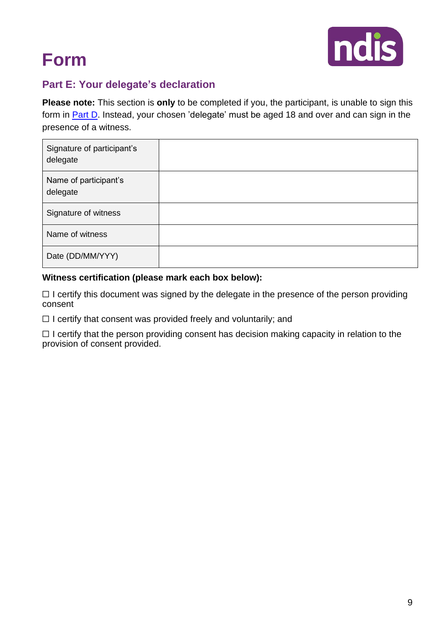

## <span id="page-8-0"></span>**Part E: Your delegate's declaration**

**Please note:** This section is **only** to be completed if you, the participant, is unable to sign this form in **Part D**. Instead, your chosen 'delegate' must be aged 18 and over and can sign in the presence of a witness.

| Signature of participant's<br>delegate |  |
|----------------------------------------|--|
| Name of participant's<br>delegate      |  |
| Signature of witness                   |  |
| Name of witness                        |  |
| Date (DD/MM/YYY)                       |  |

#### **Witness certification (please mark each box below):**

□ I certify this document was signed by the delegate in the presence of the person providing consent

 $\Box$  I certify that consent was provided freely and voluntarily; and

 $\Box$  I certify that the person providing consent has decision making capacity in relation to the provision of consent provided.